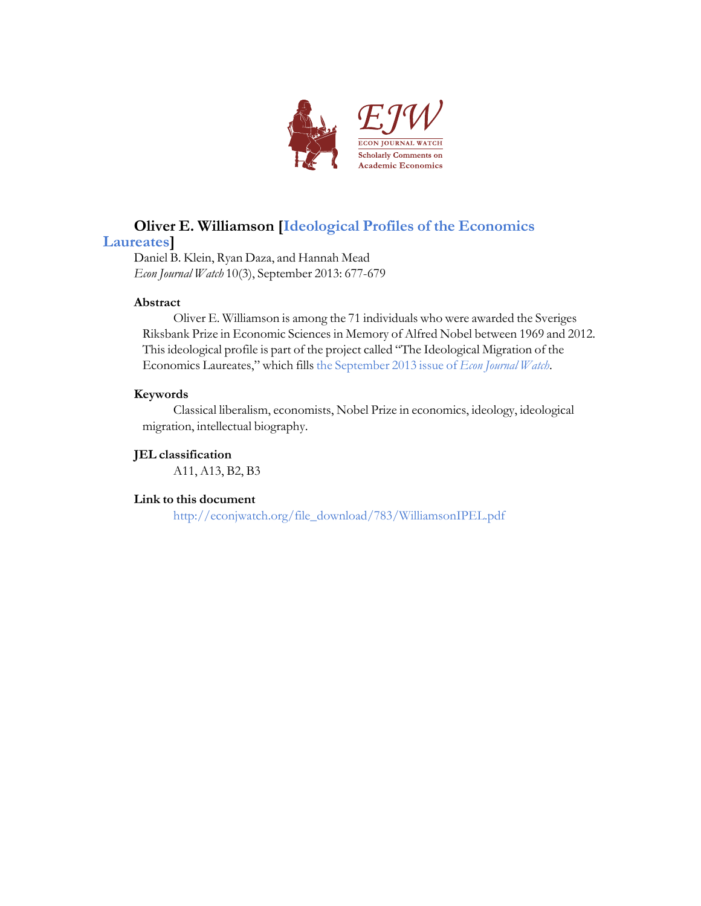

# **Oliver E. Williamson [Ideological Profiles of the [Economics](http://econjwatch.org/articles/ideological-profiles-of-the-economics-laureates)**

#### **[Laureates](http://econjwatch.org/articles/ideological-profiles-of-the-economics-laureates)]**

Daniel B. Klein, Ryan Daza, and Hannah Mead *Econ Journal Watch* 10(3), September 2013: 677-679

#### **Abstract**

Oliver E. Williamson is among the 71 individuals who were awarded the Sveriges Riksbank Prize in Economic Sciences in Memory of Alfred Nobel between 1969 and 2012. This ideological profile is part of the project called "The Ideological Migration of the Economics Laureates," which fills the [September](http://econjwatch.org/issues/volume-10-issue-3-september-2013) 2013 issue of *Econ Journal Watch*.

#### **Keywords**

Classical liberalism, economists, Nobel Prize in economics, ideology, ideological migration, intellectual biography.

#### **JEL classification**

A11, A13, B2, B3

#### **Link to this document**

[http://econjwatch.org/file\\_download/783/WilliamsonIPEL.pdf](http://econjwatch.org/file_download/783/WilliamsonIPEL.pdf)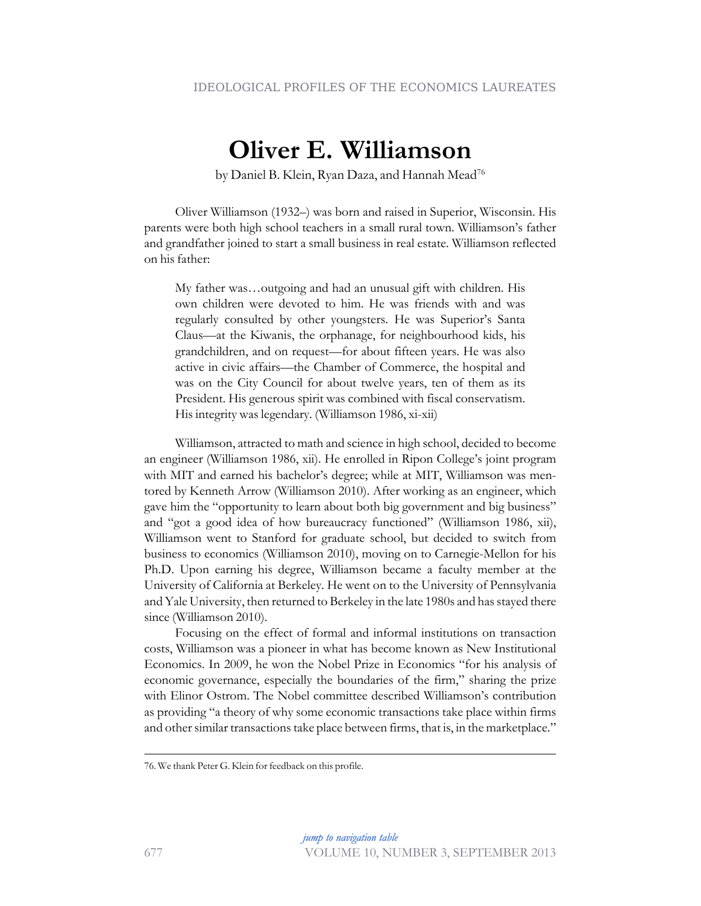## **Oliver E. Williamson**

by Daniel B. Klein, Ryan Daza, and Hannah Mead<sup>76</sup>

Oliver Williamson (1932–) was born and raised in Superior, Wisconsin. His parents were both high school teachers in a small rural town. Williamson's father and grandfather joined to start a small business in real estate. Williamson reflected on his father:

My father was…outgoing and had an unusual gift with children. His own children were devoted to him. He was friends with and was regularly consulted by other youngsters. He was Superior's Santa Claus—at the Kiwanis, the orphanage, for neighbourhood kids, his grandchildren, and on request—for about fifteen years. He was also active in civic affairs—the Chamber of Commerce, the hospital and was on the City Council for about twelve years, ten of them as its President. His generous spirit was combined with fiscal conservatism. His integrity was legendary. (Williamson 1986, xi-xii)

Williamson, attracted to math and science in high school, decided to become an engineer (Williamson 1986, xii). He enrolled in Ripon College's joint program with MIT and earned his bachelor's degree; while at MIT, Williamson was mentored by Kenneth Arrow (Williamson 2010). After working as an engineer, which gave him the "opportunity to learn about both big government and big business" and "got a good idea of how bureaucracy functioned" (Williamson 1986, xii), Williamson went to Stanford for graduate school, but decided to switch from business to economics (Williamson 2010), moving on to Carnegie-Mellon for his Ph.D. Upon earning his degree, Williamson became a faculty member at the University of California at Berkeley. He went on to the University of Pennsylvania and Yale University, then returned to Berkeley in the late 1980s and has stayed there since (Williamson 2010).

Focusing on the effect of formal and informal institutions on transaction costs, Williamson was a pioneer in what has become known as New Institutional Economics. In 2009, he won the Nobel Prize in Economics "for his analysis of economic governance, especially the boundaries of the firm," sharing the prize with Elinor Ostrom. The Nobel committee described Williamson's contribution as providing "a theory of why some economic transactions take place within firms and other similar transactions take place between firms, that is, in the marketplace."

<sup>76.</sup> We thank Peter G. Klein for feedback on this profile.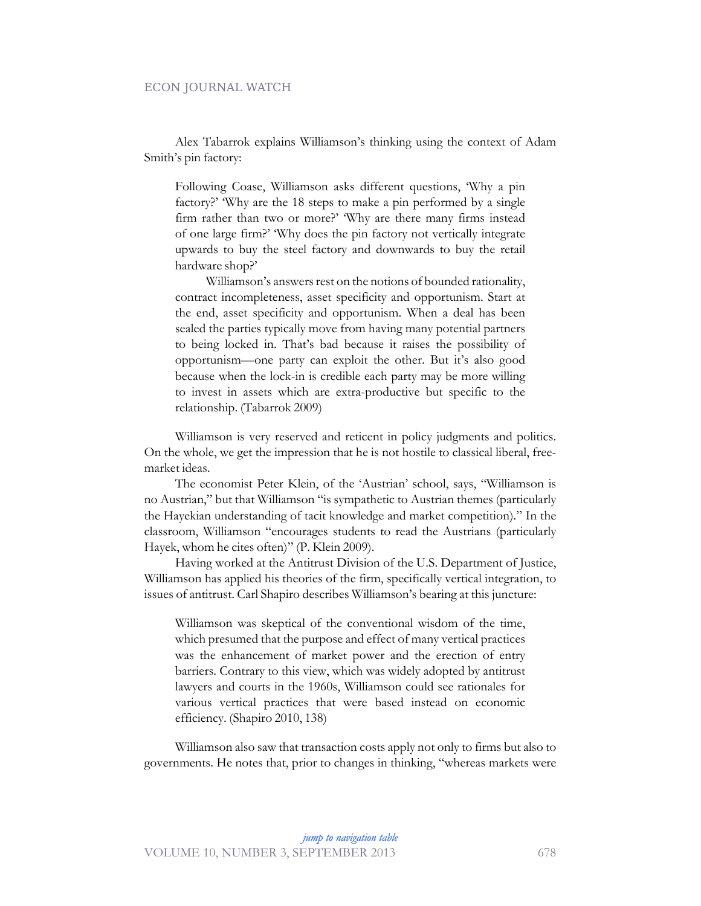#### ECON JOURNAL WATCH

Alex Tabarrok explains Williamson's thinking using the context of Adam Smith's pin factory:

Following Coase, Williamson asks different questions, 'Why a pin factory?' 'Why are the 18 steps to make a pin performed by a single firm rather than two or more?' 'Why are there many firms instead of one large firm?' 'Why does the pin factory not vertically integrate upwards to buy the steel factory and downwards to buy the retail hardware shop?'

Williamson's answers rest on the notions of bounded rationality, contract incompleteness, asset specificity and opportunism. Start at the end, asset specificity and opportunism. When a deal has been sealed the parties typically move from having many potential partners to being locked in. That's bad because it raises the possibility of opportunism—one party can exploit the other. But it's also good because when the lock-in is credible each party may be more willing to invest in assets which are extra-productive but specific to the relationship. (Tabarrok 2009)

Williamson is very reserved and reticent in policy judgments and politics. On the whole, we get the impression that he is not hostile to classical liberal, freemarket ideas.

The economist Peter Klein, of the 'Austrian' school, says, "Williamson is no Austrian," but that Williamson "is sympathetic to Austrian themes (particularly the Hayekian understanding of tacit knowledge and market competition)." In the classroom, Williamson "encourages students to read the Austrians (particularly Hayek, whom he cites often)" (P. Klein 2009).

Having worked at the Antitrust Division of the U.S. Department of Justice, Williamson has applied his theories of the firm, specifically vertical integration, to issues of antitrust. Carl Shapiro describes Williamson's bearing at this juncture:

Williamson was skeptical of the conventional wisdom of the time, which presumed that the purpose and effect of many vertical practices was the enhancement of market power and the erection of entry barriers. Contrary to this view, which was widely adopted by antitrust lawyers and courts in the 1960s, Williamson could see rationales for various vertical practices that were based instead on economic efficiency. (Shapiro 2010, 138)

Williamson also saw that transaction costs apply not only to firms but also to governments. He notes that, prior to changes in thinking, "whereas markets were